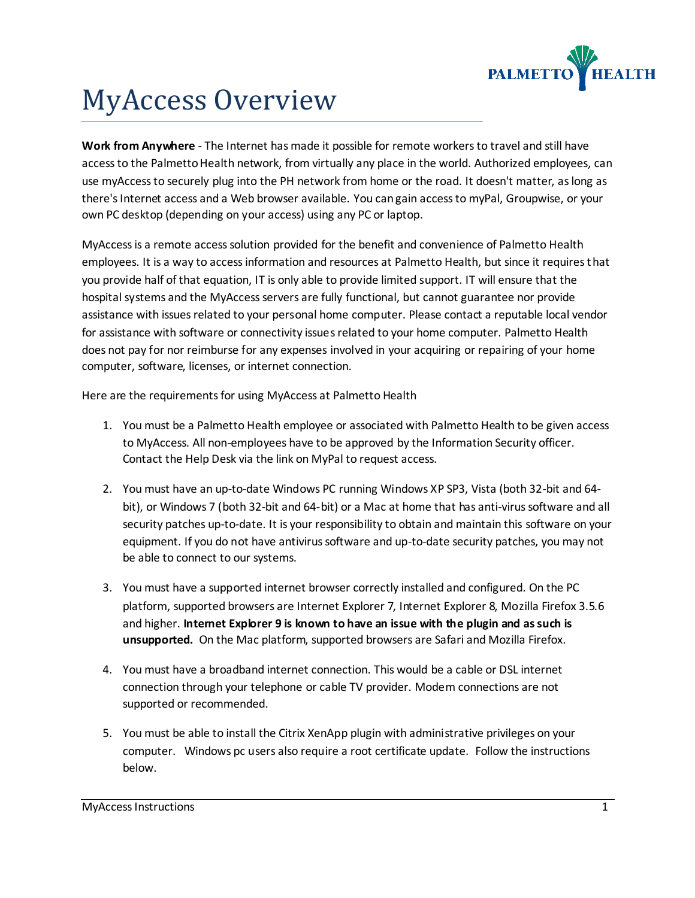

# MyAccess Overview

**Work from Anywhere** - The Internet has made it possible for remote workers to travel and still have access to the Palmetto Health network, from virtually any place in the world. Authorized employees, can use myAccess to securely plug into the PH network from home or the road. It doesn't matter, as long as there's Internet access and a Web browser available. You can gain access to myPal, Groupwise, or your own PC desktop (depending on your access) using any PC or laptop.

MyAccess is a remote access solution provided for the benefit and convenience of Palmetto Health employees. It is a way to access information and resources at Palmetto Health, but since it requires that you provide half of that equation, IT is only able to provide limited support. IT will ensure that the hospital systems and the MyAccess servers are fully functional, but cannot guarantee nor provide assistance with issues related to your personal home computer. Please contact a reputable local vendor for assistance with software or connectivity issues related to your home computer. Palmetto Health does not pay for nor reimburse for any expenses involved in your acquiring or repairing of your home computer, software, licenses, or internet connection.

Here are the requirements for using MyAccess at Palmetto Health

- 1. You must be a Palmetto Health employee or associated with Palmetto Health to be given access to MyAccess. All non-employees have to be approved by the Information Security officer. Contact the Help Desk via the link on MyPal to request access.
- 2. You must have an up-to-date Windows PC running Windows XP SP3, Vista (both 32-bit and 64 bit), or Windows 7 (both 32-bit and 64-bit) or a Mac at home that has anti-virus software and all security patches up-to-date. It is your responsibility to obtain and maintain this software on your equipment. If you do not have antivirus software and up-to-date security patches, you may not be able to connect to our systems.
- 3. You must have a supported internet browser correctly installed and configured. On the PC platform, supported browsers are Internet Explorer 7, Internet Explorer 8, Mozilla Firefox 3.5.6 and higher. **Internet Explorer 9 is known to have an issue with the plugin and as such is unsupported.** On the Mac platform, supported browsers are Safari and Mozilla Firefox.
- 4. You must have a broadband internet connection. This would be a cable or DSL internet connection through your telephone or cable TV provider. Modem connections are not supported or recommended.
- 5. You must be able to install the Citrix XenApp plugin with administrative privileges on your computer. Windows pc users also require a root certificate update. Follow the instructions below.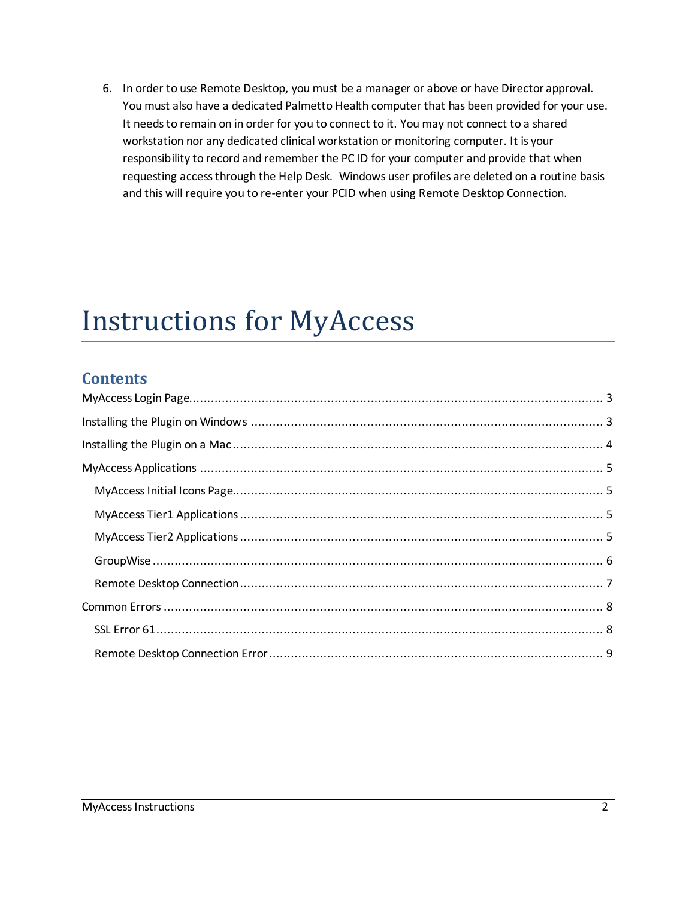6. In order to use Remote Desktop, you must be a manager or above or have Director approval. You must also have a dedicated Palmetto Health computer that has been provided for your use. It needs to remain on in order for you to connect to it. You may not connect to a shared workstation nor any dedicated clinical workstation or monitoring computer. It is your responsibility to record and remember the PC ID for your computer and provide that when requesting access through the Help Desk. Windows user profiles are deleted on a routine basis and this will require you to re-enter your PCID when using Remote Desktop Connection.

# Instructions for MyAccess

## **Contents**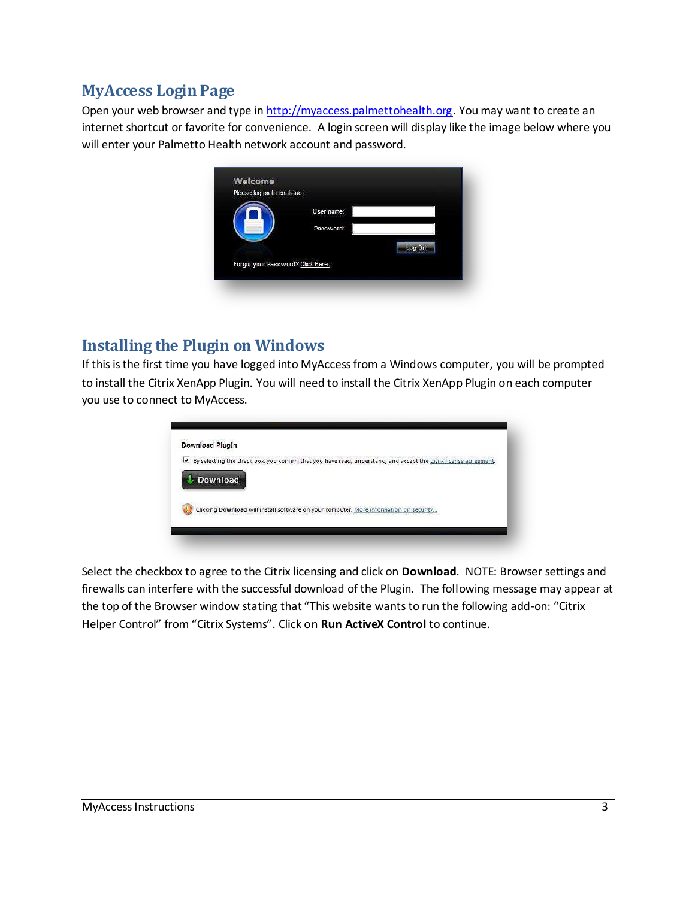## <span id="page-2-0"></span>**MyAccess Login Page**

Open your web browser and type in [http://myaccess.palmettohealth.org.](http://myaccess.palmettohealth.org/) You may want to create an internet shortcut or favorite for convenience. A login screen will display like the image below where you will enter your Palmetto Health network account and password.



## <span id="page-2-1"></span>**Installing the Plugin on Windows**

If this is the first time you have logged into MyAccess from a Windows computer, you will be prompted to install the Citrix XenApp Plugin. You will need to install the Citrix XenApp Plugin on each computer you use to connect to MyAccess.

| <b>Download Plugin</b> |                                                                                                                  |
|------------------------|------------------------------------------------------------------------------------------------------------------|
| ▽                      | By selecting the check box, you confirm that you have read, understand, and accept the Citrix license agreement. |
|                        | <b>Download</b>                                                                                                  |
|                        | Clicking Download will install software on your computer. More information on security                           |

Select the checkbox to agree to the Citrix licensing and click on **Download**. NOTE: Browser settings and firewalls can interfere with the successful download of the Plugin. The following message may appear at the top of the Browser window stating that "This website wants to run the following add-on: "Citrix Helper Control" from "Citrix Systems". Click on **Run ActiveX Control** to continue.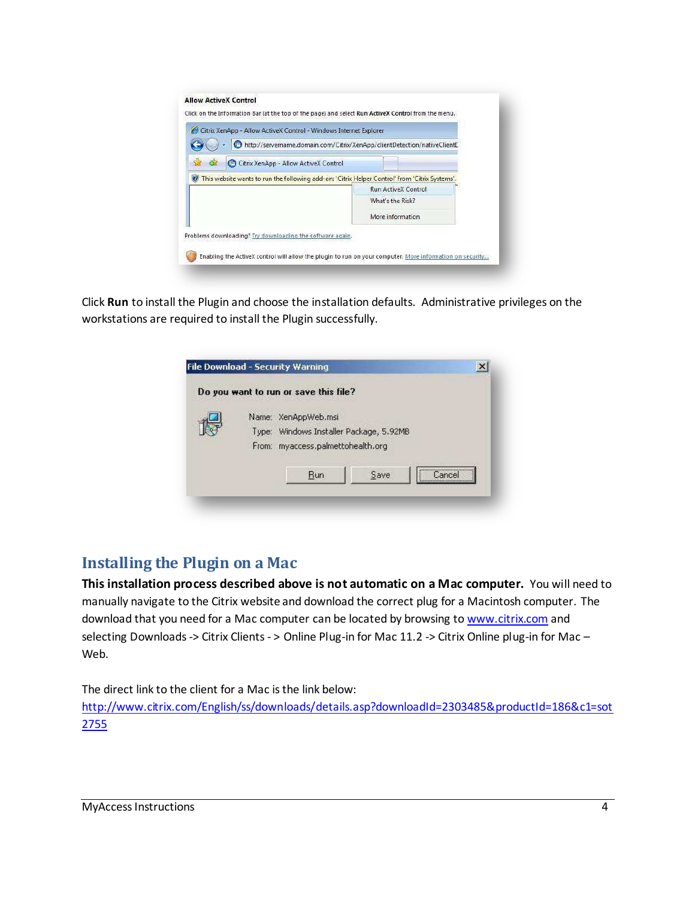| Citrix XenApp - Allow ActiveX Control - Windows Internet Explorer<br>⊕ | http://servername.domain.com/Citrix/XenApp/clientDetection/nativeClientE                       |
|------------------------------------------------------------------------|------------------------------------------------------------------------------------------------|
| Citrix XenApp - Allow ActiveX Control<br>43                            |                                                                                                |
|                                                                        | This website wants to run the following add-on: 'Citrix Helper Control' from 'Citrix Systems'. |
|                                                                        | <b>Run ActiveX Control</b>                                                                     |
|                                                                        | What's the Risk?                                                                               |
|                                                                        | More information                                                                               |
| Problems downloading? Try downloading the software again.              |                                                                                                |

Click **Run** to install the Plugin and choose the installation defaults. Administrative privileges on the workstations are required to install the Plugin successfully.



## <span id="page-3-0"></span>**Installing the Plugin on a Mac**

**This installation process described above is not automatic on a Mac computer.** You will need to manually navigate to the Citrix website and download the correct plug for a Macintosh computer. The download that you need for a Mac computer can be located by browsing t[o www.citrix.com](http://www.citrix.com/) and selecting Downloads -> Citrix Clients - > Online Plug-in for Mac 11.2 -> Citrix Online plug-in for Mac – Web.

The direct link to the client for a Mac is the link below:

[http://www.citrix.com/English/ss/downloads/details.asp?downloadId=2303485&productId=186&c1=sot](http://www.citrix.com/English/ss/downloads/details.asp?downloadId=2303485&productId=186&c1=sot2755) [2755](http://www.citrix.com/English/ss/downloads/details.asp?downloadId=2303485&productId=186&c1=sot2755)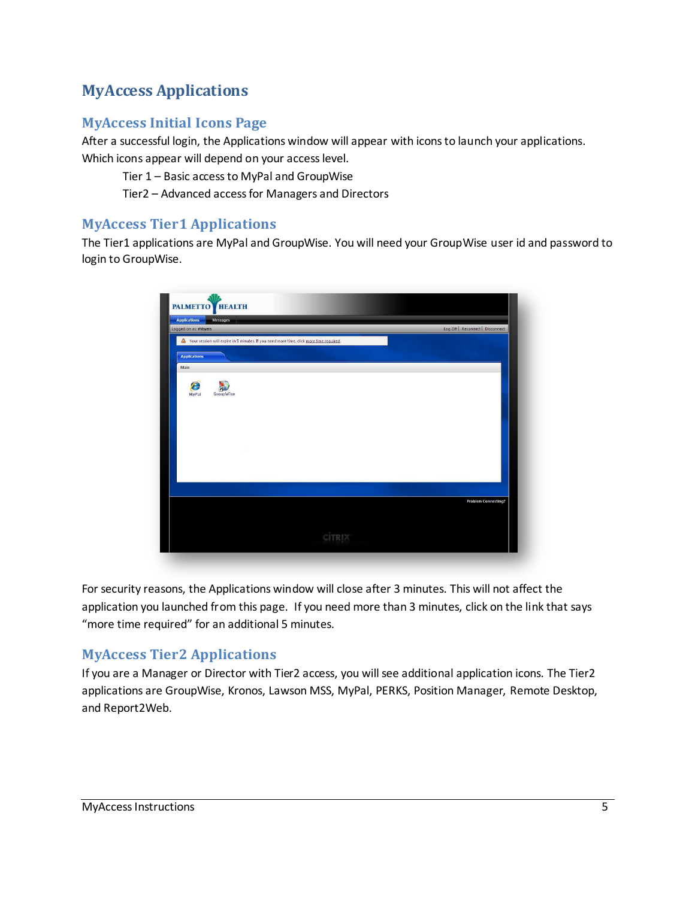## <span id="page-4-0"></span>**MyAccess Applications**

### <span id="page-4-1"></span>**MyAccess Initial Icons Page**

After a successful login, the Applications window will appear with icons to launch your applications. Which icons appear will depend on your access level.

Tier 1 – Basic access to MyPal and GroupWise

Tier2 – Advanced access for Managers and Directors

#### <span id="page-4-2"></span>**MyAccess Tier1 Applications**

The Tier1 applications are MyPal and GroupWise. You will need your GroupWise user id and password to login to GroupWise.

| Logged on as: rhbyers                                                                     | Log Off   Reconnect   Disconnect |
|-------------------------------------------------------------------------------------------|----------------------------------|
| A Your session will expire in 5 minutes. If you need more time, click more time required. |                                  |
| <b>Applications</b>                                                                       |                                  |
| Main                                                                                      |                                  |
| e<br>h                                                                                    |                                  |
| <b>GroupWise</b><br>MyPal                                                                 |                                  |
|                                                                                           |                                  |
|                                                                                           |                                  |
|                                                                                           |                                  |
|                                                                                           |                                  |
|                                                                                           |                                  |
|                                                                                           |                                  |
|                                                                                           |                                  |
|                                                                                           | <b>Problem Connecting?</b>       |
|                                                                                           |                                  |

For security reasons, the Applications window will close after 3 minutes. This will not affect the application you launched from this page. If you need more than 3 minutes, click on the link that says "more time required" for an additional 5 minutes.

### <span id="page-4-3"></span>**MyAccess Tier2 Applications**

If you are a Manager or Director with Tier2 access, you will see additional application icons. The Tier2 applications are GroupWise, Kronos, Lawson MSS, MyPal, PERKS, Position Manager, Remote Desktop, and Report2Web.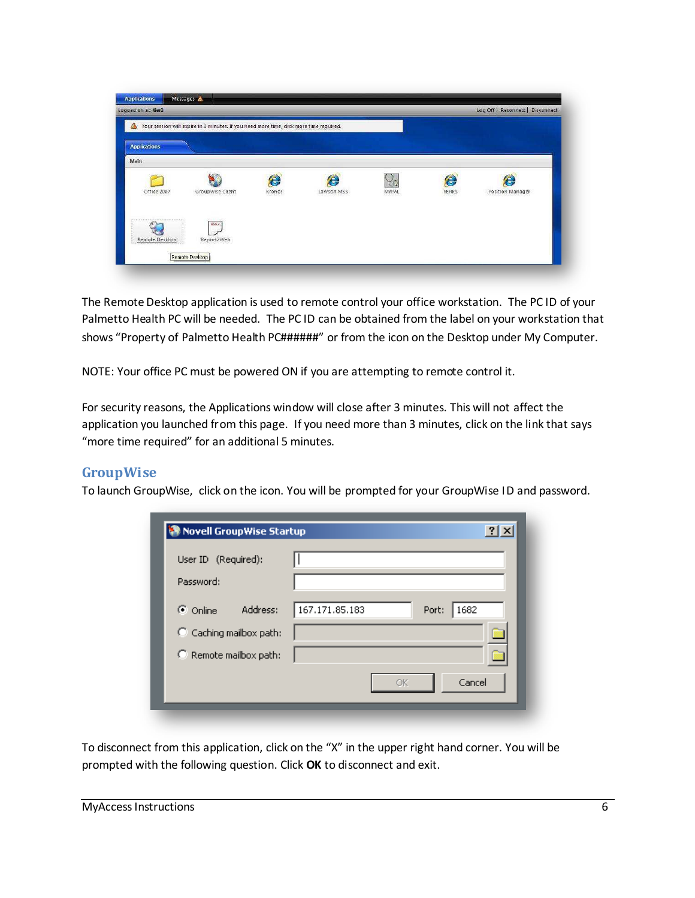

The Remote Desktop application is used to remote control your office workstation. The PC ID of your Palmetto Health PC will be needed. The PC ID can be obtained from the label on your workstation that shows "Property of Palmetto Health PC######" or from the icon on the Desktop under My Computer.

NOTE: Your office PC must be powered ON if you are attempting to remote control it.

For security reasons, the Applications window will close after 3 minutes. This will not affect the application you launched from this page. If you need more than 3 minutes, click on the link that says "more time required" for an additional 5 minutes.

#### <span id="page-5-0"></span>**GroupWise**

To launch GroupWise, click on the icon. You will be prompted for your GroupWise ID and password.

| User ID (Required):                |                                 |
|------------------------------------|---------------------------------|
| Password:                          |                                 |
| $\odot$ Online<br>Address:         | 167.171.85.183<br>1682<br>Port: |
| $\heartsuit$ Caching mailbox path: |                                 |
| C Remote mailbox path:             |                                 |
|                                    | Cancel<br>OK                    |

To disconnect from this application, click on the "X" in the upper right hand corner. You will be prompted with the following question. Click OK to disconnect and exit.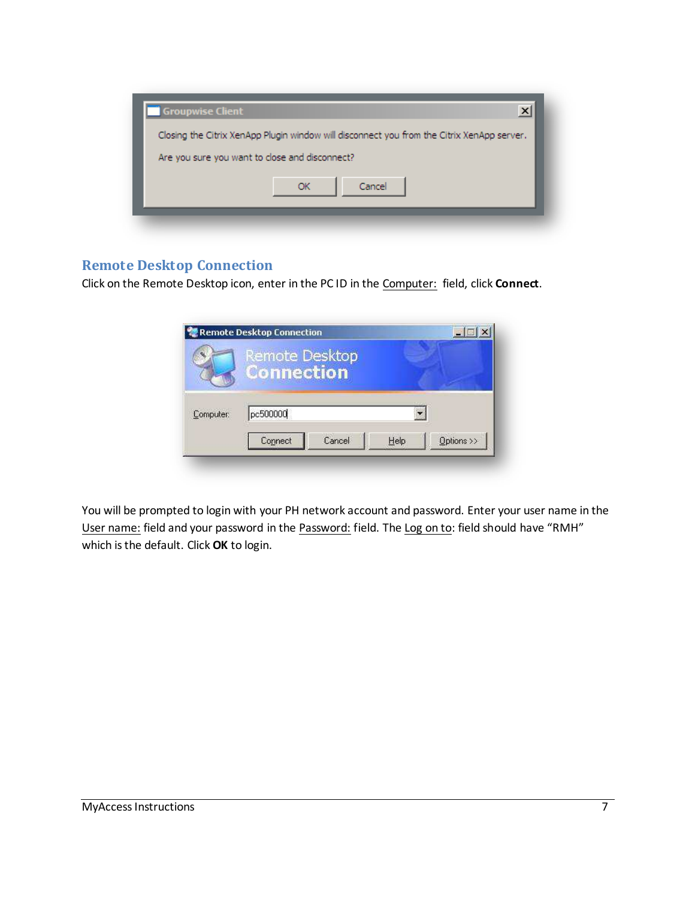

#### <span id="page-6-0"></span>**Remote Desktop Connection**

Click on the Remote Desktop icon, enter in the PC ID in the Computer: field, click **Connect**.

|           | Remote Desktop<br><b>Connection</b> |            |
|-----------|-------------------------------------|------------|
| Computer: | pc500000                            |            |
|           | Cancel<br>Connect<br>Help           | Options >> |

You will be prompted to login with your PH network account and password. Enter your user name in the User name: field and your password in the Password: field. The Log on to: field should have "RMH" which is the default. Click **OK** to login.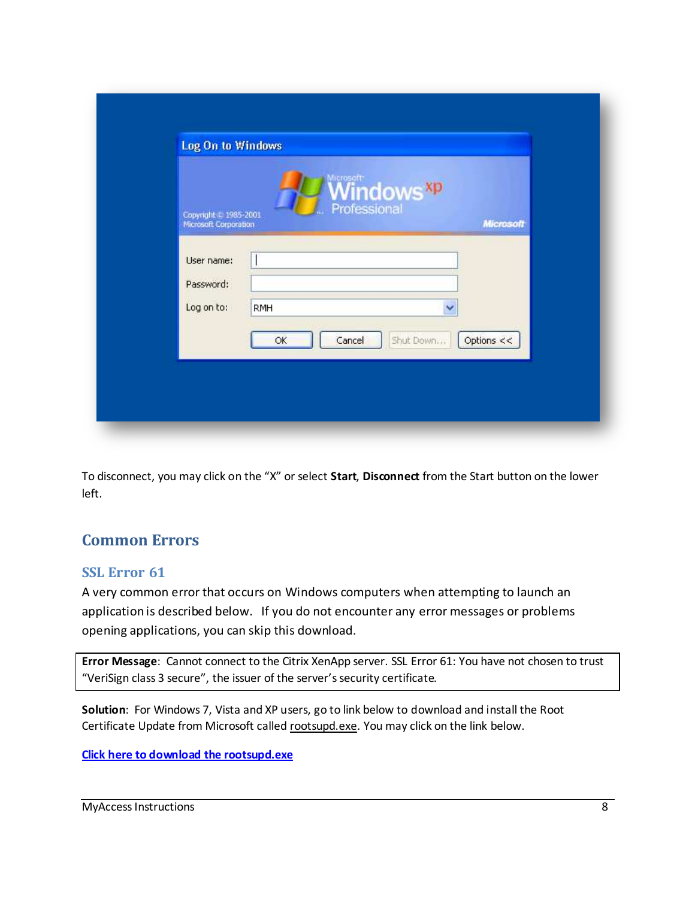| <b>Windows</b> <sup>xp</sup><br>Professional<br>Copyright @ 1985-2001<br>Microsoft Corporation |                  |
|------------------------------------------------------------------------------------------------|------------------|
|                                                                                                | <b>Microsoft</b> |
| User name:                                                                                     |                  |
| Password:                                                                                      |                  |
| Log on to:<br><b>RMH</b><br>×<br>Shut Down<br>Options <<                                       |                  |

To disconnect, you may click on the "X" or select Start, Disconnect from the Start button on the lower left.

## <span id="page-7-0"></span>**Common Errors**

#### <span id="page-7-1"></span>**SSL Error 61**

A very common error that occurs on Windows computers when attempting to launch an application is described below. If you do not encounter any error messages or problems opening applications, you can skip this download.

Error Message: Cannot connect to the Citrix XenApp server. SSL Error 61: You have not chosen to trust "VeriSign class 3 secure", the issuer of the server's security certificate.

Solution: For Windows 7, Vista and XP users, go to link below to download and install the Root Certificate Update from Microsoft called rootsupd.exe. You may click on the link below.

Click here to download the rootsupd.exe